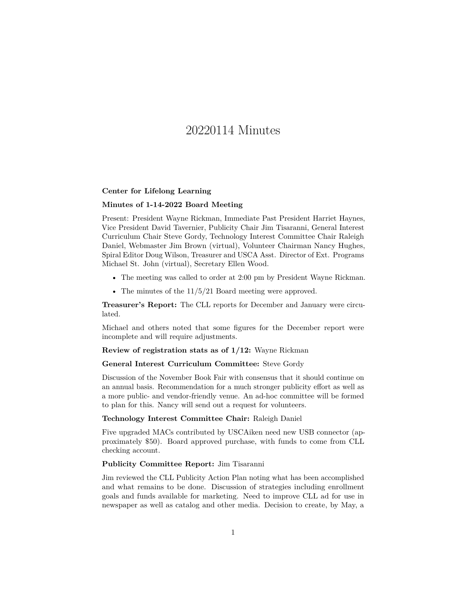# 20220114 Minutes

## **Center for Lifelong Learning**

## **Minutes of 1-14-2022 Board Meeting**

Present: President Wayne Rickman, Immediate Past President Harriet Haynes, Vice President David Tavernier, Publicity Chair Jim Tisaranni, General Interest Curriculum Chair Steve Gordy, Technology Interest Committee Chair Raleigh Daniel, Webmaster Jim Brown (virtual), Volunteer Chairman Nancy Hughes, Spiral Editor Doug Wilson, Treasurer and USCA Asst. Director of Ext. Programs Michael St. John (virtual), Secretary Ellen Wood.

- The meeting was called to order at 2:00 pm by President Wayne Rickman.
- The minutes of the  $11/5/21$  Board meeting were approved.

**Treasurer's Report:** The CLL reports for December and January were circulated.

Michael and others noted that some figures for the December report were incomplete and will require adjustments.

**Review of registration stats as of 1/12:** Wayne Rickman

## **General Interest Curriculum Committee:** Steve Gordy

Discussion of the November Book Fair with consensus that it should continue on an annual basis. Recommendation for a much stronger publicity effort as well as a more public- and vendor-friendly venue. An ad-hoc committee will be formed to plan for this. Nancy will send out a request for volunteers.

# **Technology Interest Committee Chair:** Raleigh Daniel

Five upgraded MACs contributed by USCAiken need new USB connector (approximately \$50). Board approved purchase, with funds to come from CLL checking account.

## **Publicity Committee Report:** Jim Tisaranni

Jim reviewed the CLL Publicity Action Plan noting what has been accomplished and what remains to be done. Discussion of strategies including enrollment goals and funds available for marketing. Need to improve CLL ad for use in newspaper as well as catalog and other media. Decision to create, by May, a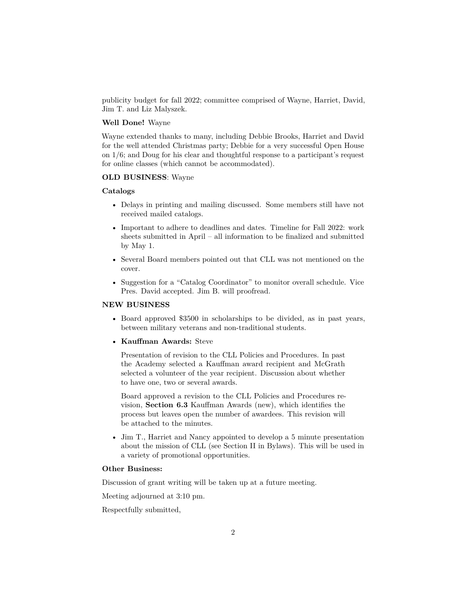publicity budget for fall 2022; committee comprised of Wayne, Harriet, David, Jim T. and Liz Malyszek.

## **Well Done!** Wayne

Wayne extended thanks to many, including Debbie Brooks, Harriet and David for the well attended Christmas party; Debbie for a very successful Open House on 1/6; and Doug for his clear and thoughtful response to a participant's request for online classes (which cannot be accommodated).

## **OLD BUSINESS**: Wayne

#### **Catalogs**

- Delays in printing and mailing discussed. Some members still have not received mailed catalogs.
- Important to adhere to deadlines and dates. Timeline for Fall 2022: work sheets submitted in April – all information to be finalized and submitted by May 1.
- Several Board members pointed out that CLL was not mentioned on the cover.
- Suggestion for a "Catalog Coordinator" to monitor overall schedule. Vice Pres. David accepted. Jim B. will proofread.

## **NEW BUSINESS**

- Board approved \$3500 in scholarships to be divided, as in past years, between military veterans and non-traditional students.
- **Kauffman Awards:** Steve

Presentation of revision to the CLL Policies and Procedures. In past the Academy selected a Kauffman award recipient and McGrath selected a volunteer of the year recipient. Discussion about whether to have one, two or several awards.

Board approved a revision to the CLL Policies and Procedures revision, **Section 6.3** Kauffman Awards (new), which identifies the process but leaves open the number of awardees. This revision will be attached to the minutes.

• Jim T., Harriet and Nancy appointed to develop a 5 minute presentation about the mission of CLL (see Section II in Bylaws). This will be used in a variety of promotional opportunities.

# **Other Business:**

Discussion of grant writing will be taken up at a future meeting.

Meeting adjourned at 3:10 pm.

Respectfully submitted,